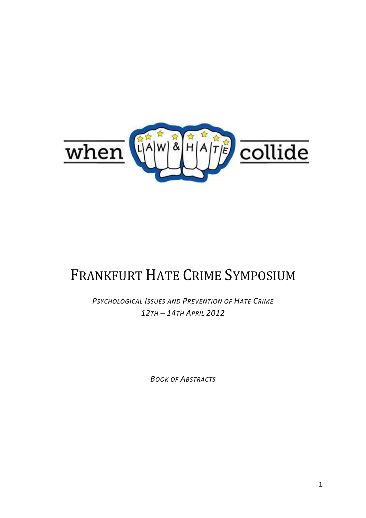

# FRANKFURT HATE CRIME SYMPOSIUM

*PSYCHOLOGICAL ISSUES AND PREVENTION OF HATE CRIME 12TH – 14TH APRIL 2012* 

*BOOK OF ABSTRACTS*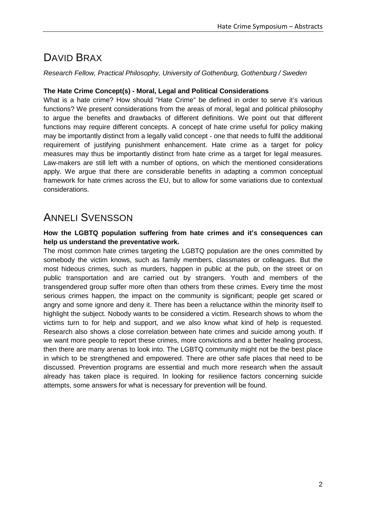### DAVID BRAX

Research Fellow, Practical Philosophy, University of Gothenburg, Gothenburg / Sweden

#### **The Hate Crime Concept(s) - Moral, Legal and Political Considerations**

What is a hate crime? How should "Hate Crime" be defined in order to serve it's various functions? We present considerations from the areas of moral, legal and political philosophy to argue the benefits and drawbacks of different definitions. We point out that different functions may require different concepts. A concept of hate crime useful for policy making may be importantly distinct from a legally valid concept - one that needs to fulfil the additional requirement of justifying punishment enhancement. Hate crime as a target for policy measures may thus be importantly distinct from hate crime as a target for legal measures. Law-makers are still left with a number of options, on which the mentioned considerations apply. We argue that there are considerable benefits in adapting a common conceptual framework for hate crimes across the EU, but to allow for some variations due to contextual considerations.

### ANNELI SVENSSON

#### **How the LGBTQ population suffering from hate crimes and it's consequences can help us understand the preventative work.**

The most common hate crimes targeting the LGBTQ population are the ones committed by somebody the victim knows, such as family members, classmates or colleagues. But the most hideous crimes, such as murders, happen in public at the pub, on the street or on public transportation and are carried out by strangers. Youth and members of the transgendered group suffer more often than others from these crimes. Every time the most serious crimes happen, the impact on the community is significant; people get scared or angry and some ignore and deny it. There has been a reluctance within the minority itself to highlight the subject. Nobody wants to be considered a victim. Research shows to whom the victims turn to for help and support, and we also know what kind of help is requested. Research also shows a close correlation between hate crimes and suicide among youth. If we want more people to report these crimes, more convictions and a better healing process, then there are many arenas to look into. The LGBTQ community might not be the best place in which to be strengthened and empowered. There are other safe places that need to be discussed. Prevention programs are essential and much more research when the assault already has taken place is required. In looking for resilience factors concerning suicide attempts, some answers for what is necessary for prevention will be found.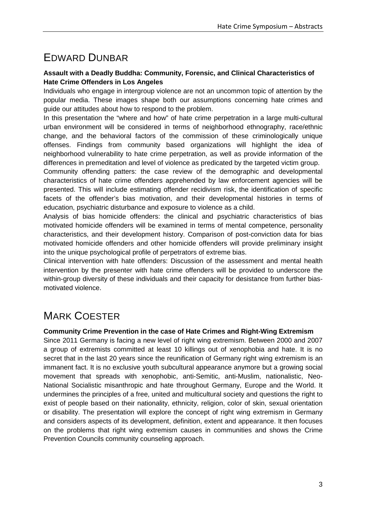### EDWARD DUNBAR

#### **Assault with a Deadly Buddha: Community, Forensic, and Clinical Characteristics of Hate Crime Offenders in Los Angeles**

Individuals who engage in intergroup violence are not an uncommon topic of attention by the popular media. These images shape both our assumptions concerning hate crimes and guide our attitudes about how to respond to the problem.

In this presentation the "where and how" of hate crime perpetration in a large multi-cultural urban environment will be considered in terms of neighborhood ethnography, race/ethnic change, and the behavioral factors of the commission of these criminologically unique offenses. Findings from community based organizations will highlight the idea of neighborhood vulnerability to hate crime perpetration, as well as provide information of the differences in premeditation and level of violence as predicated by the targeted victim group.

Community offending patters: the case review of the demographic and developmental characteristics of hate crime offenders apprehended by law enforcement agencies will be presented. This will include estimating offender recidivism risk, the identification of specific facets of the offender's bias motivation, and their developmental histories in terms of education, psychiatric disturbance and exposure to violence as a child.

Analysis of bias homicide offenders: the clinical and psychiatric characteristics of bias motivated homicide offenders will be examined in terms of mental competence, personality characteristics, and their development history. Comparison of post-conviction data for bias motivated homicide offenders and other homicide offenders will provide preliminary insight into the unique psychological profile of perpetrators of extreme bias.

Clinical intervention with hate offenders: Discussion of the assessment and mental health intervention by the presenter with hate crime offenders will be provided to underscore the within-group diversity of these individuals and their capacity for desistance from further biasmotivated violence.

## MARK COESTER

#### **Community Crime Prevention in the case of Hate Crimes and Right-Wing Extremism**

Since 2011 Germany is facing a new level of right wing extremism. Between 2000 and 2007 a group of extremists committed at least 10 killings out of xenophobia and hate. It is no secret that in the last 20 years since the reunification of Germany right wing extremism is an immanent fact. It is no exclusive youth subcultural appearance anymore but a growing social movement that spreads with xenophobic, anti-Semitic, anti-Muslim, nationalistic, Neo-National Socialistic misanthropic and hate throughout Germany, Europe and the World. It undermines the principles of a free, united and multicultural society and questions the right to exist of people based on their nationality, ethnicity, religion, color of skin, sexual orientation or disability. The presentation will explore the concept of right wing extremism in Germany and considers aspects of its development, definition, extent and appearance. It then focuses on the problems that right wing extremism causes in communities and shows the Crime Prevention Councils community counseling approach.